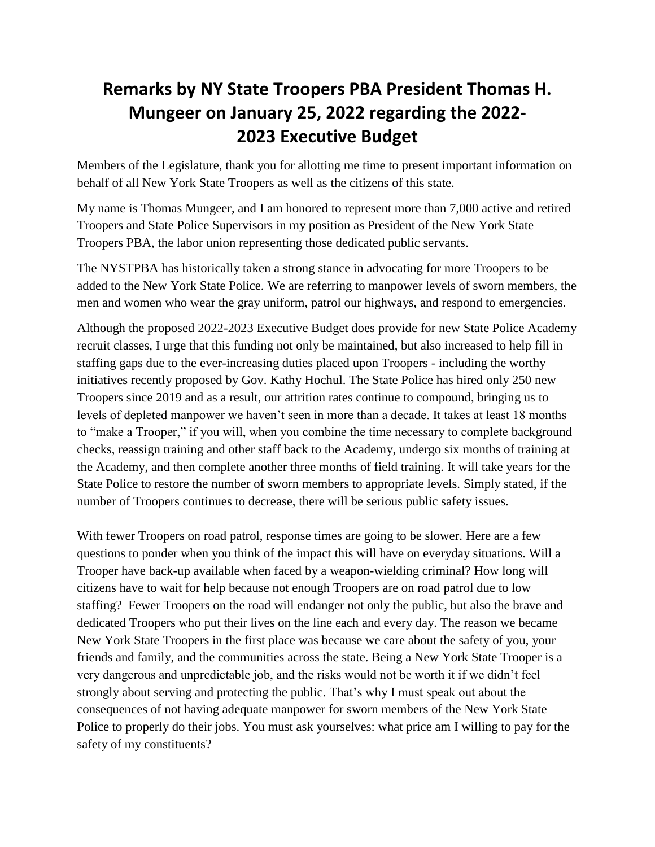## **Remarks by NY State Troopers PBA President Thomas H. Mungeer on January 25, 2022 regarding the 2022- 2023 Executive Budget**

Members of the Legislature, thank you for allotting me time to present important information on behalf of all New York State Troopers as well as the citizens of this state.

My name is Thomas Mungeer, and I am honored to represent more than 7,000 active and retired Troopers and State Police Supervisors in my position as President of the New York State Troopers PBA, the labor union representing those dedicated public servants.

The NYSTPBA has historically taken a strong stance in advocating for more Troopers to be added to the New York State Police. We are referring to manpower levels of sworn members, the men and women who wear the gray uniform, patrol our highways, and respond to emergencies.

Although the proposed 2022-2023 Executive Budget does provide for new State Police Academy recruit classes, I urge that this funding not only be maintained, but also increased to help fill in staffing gaps due to the ever-increasing duties placed upon Troopers - including the worthy initiatives recently proposed by Gov. Kathy Hochul. The State Police has hired only 250 new Troopers since 2019 and as a result, our attrition rates continue to compound, bringing us to levels of depleted manpower we haven't seen in more than a decade. It takes at least 18 months to "make a Trooper," if you will, when you combine the time necessary to complete background checks, reassign training and other staff back to the Academy, undergo six months of training at the Academy, and then complete another three months of field training. It will take years for the State Police to restore the number of sworn members to appropriate levels. Simply stated, if the number of Troopers continues to decrease, there will be serious public safety issues.

With fewer Troopers on road patrol, response times are going to be slower. Here are a few questions to ponder when you think of the impact this will have on everyday situations. Will a Trooper have back-up available when faced by a weapon-wielding criminal? How long will citizens have to wait for help because not enough Troopers are on road patrol due to low staffing? Fewer Troopers on the road will endanger not only the public, but also the brave and dedicated Troopers who put their lives on the line each and every day. The reason we became New York State Troopers in the first place was because we care about the safety of you, your friends and family, and the communities across the state. Being a New York State Trooper is a very dangerous and unpredictable job, and the risks would not be worth it if we didn't feel strongly about serving and protecting the public. That's why I must speak out about the consequences of not having adequate manpower for sworn members of the New York State Police to properly do their jobs. You must ask yourselves: what price am I willing to pay for the safety of my constituents?